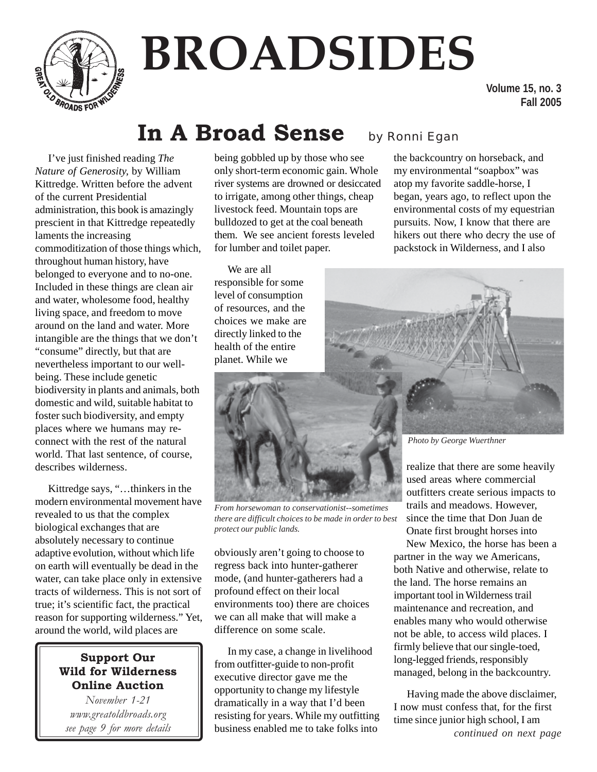

# **BROADSIDES**

**Volume 15, no. 3 Fall 2005**

## In A Broad Sense by Ronni Egan

I've just finished reading *The Nature of Generosity,* by William Kittredge. Written before the advent of the current Presidential administration, this book is amazingly prescient in that Kittredge repeatedly laments the increasing commoditization of those things which, throughout human history, have belonged to everyone and to no-one. Included in these things are clean air and water, wholesome food, healthy living space, and freedom to move around on the land and water. More intangible are the things that we don't "consume" directly, but that are nevertheless important to our wellbeing. These include genetic biodiversity in plants and animals, both domestic and wild, suitable habitat to foster such biodiversity, and empty places where we humans may reconnect with the rest of the natural world. That last sentence, of course, describes wilderness.

Kittredge says, "…thinkers in the modern environmental movement have revealed to us that the complex biological exchanges that are absolutely necessary to continue adaptive evolution, without which life on earth will eventually be dead in the water, can take place only in extensive tracts of wilderness. This is not sort of true; it's scientific fact, the practical reason for supporting wilderness." Yet, around the world, wild places are

#### **Support Our Wild for Wilderness Online Auction**

*November 1-21 www.greatoldbroads.org see page 9 for more details*

#### being gobbled up by those who see only short-term economic gain. Whole river systems are drowned or desiccated to irrigate, among other things, cheap livestock feed. Mountain tops are bulldozed to get at the coal beneath them. We see ancient forests leveled for lumber and toilet paper.

We are all responsible for some level of consumption of resources, and the choices we make are directly linked to the health of the entire planet. While we



*From horsewoman to conservationist--sometimes there are difficult choices to be made in order to best protect our public lands.*

obviously aren't going to choose to regress back into hunter-gatherer mode, (and hunter-gatherers had a profound effect on their local environments too) there are choices we can all make that will make a difference on some scale.

In my case, a change in livelihood from outfitter-guide to non-profit executive director gave me the opportunity to change my lifestyle dramatically in a way that I'd been resisting for years. While my outfitting business enabled me to take folks into

the backcountry on horseback, and my environmental "soapbox" was atop my favorite saddle-horse, I began, years ago, to reflect upon the environmental costs of my equestrian pursuits. Now, I know that there are hikers out there who decry the use of packstock in Wilderness, and I also



*Photo by George Wuerthner*

realize that there are some heavily used areas where commercial outfitters create serious impacts to trails and meadows. However, since the time that Don Juan de Onate first brought horses into New Mexico, the horse has been a

partner in the way we Americans, both Native and otherwise, relate to the land. The horse remains an important tool in Wilderness trail maintenance and recreation, and enables many who would otherwise not be able, to access wild places. I firmly believe that our single-toed, long-legged friends, responsibly managed, belong in the backcountry.

Having made the above disclaimer, I now must confess that, for the first time since junior high school, I am *continued on next page*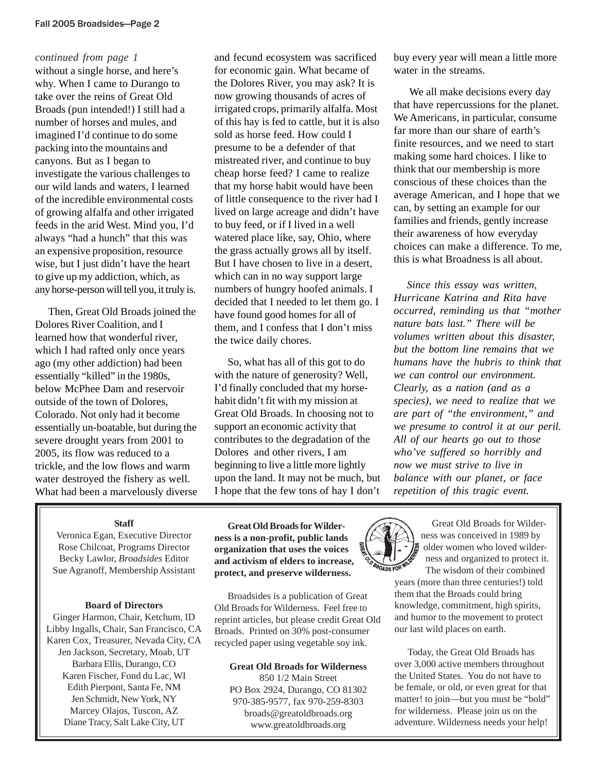#### *continued from page 1*

without a single horse, and here's why. When I came to Durango to take over the reins of Great Old Broads (pun intended!) I still had a number of horses and mules, and imagined I'd continue to do some packing into the mountains and canyons. But as I began to investigate the various challenges to our wild lands and waters, I learned of the incredible environmental costs of growing alfalfa and other irrigated feeds in the arid West. Mind you, I'd always "had a hunch" that this was an expensive proposition, resource wise, but I just didn't have the heart to give up my addiction, which, as any horse-person will tell you, it truly is.

Then, Great Old Broads joined the Dolores River Coalition, and I learned how that wonderful river, which I had rafted only once years ago (my other addiction) had been essentially "killed" in the 1980s, below McPhee Dam and reservoir outside of the town of Dolores, Colorado. Not only had it become essentially un-boatable, but during the severe drought years from 2001 to 2005, its flow was reduced to a trickle, and the low flows and warm water destroyed the fishery as well. What had been a marvelously diverse and fecund ecosystem was sacrificed for economic gain. What became of the Dolores River, you may ask? It is now growing thousands of acres of irrigated crops, primarily alfalfa. Most of this hay is fed to cattle, but it is also sold as horse feed. How could I presume to be a defender of that mistreated river, and continue to buy cheap horse feed? I came to realize that my horse habit would have been of little consequence to the river had I lived on large acreage and didn't have to buy feed, or if I lived in a well watered place like, say, Ohio, where the grass actually grows all by itself. But I have chosen to live in a desert, which can in no way support large numbers of hungry hoofed animals. I decided that I needed to let them go. I have found good homes for all of them, and I confess that I don't miss the twice daily chores.

So, what has all of this got to do with the nature of generosity? Well, I'd finally concluded that my horsehabit didn't fit with my mission at Great Old Broads. In choosing not to support an economic activity that contributes to the degradation of the Dolores and other rivers, I am beginning to live a little more lightly upon the land. It may not be much, but I hope that the few tons of hay I don't

buy every year will mean a little more water in the streams.

 We all make decisions every day that have repercussions for the planet. We Americans, in particular, consume far more than our share of earth's finite resources, and we need to start making some hard choices. I like to think that our membership is more conscious of these choices than the average American, and I hope that we can, by setting an example for our families and friends, gently increase their awareness of how everyday choices can make a difference. To me, this is what Broadness is all about.

*Since this essay was written, Hurricane Katrina and Rita have occurred, reminding us that "mother nature bats last." There will be volumes written about this disaster, but the bottom line remains that we humans have the hubris to think that we can control our environment. Clearly, as a nation (and as a species), we need to realize that we are part of "the environment," and we presume to control it at our peril. All of our hearts go out to those who've suffered so horribly and now we must strive to live in balance with our planet, or face repetition of this tragic event.*

#### **Staff**

Veronica Egan, Executive Director Rose Chilcoat, Programs Director Becky Lawlor, *Broadsides* Editor Sue Agranoff, Membership Assistant

#### **Board of Directors**

Ginger Harmon, Chair, Ketchum, ID Libby Ingalls, Chair, San Francisco, CA Karen Cox, Treasurer, Nevada City, CA Jen Jackson, Secretary, Moab, UT Barbara Ellis, Durango, CO Karen Fischer, Fond du Lac, WI Edith Pierpont, Santa Fe, NM Jen Schmidt, New York, NY Marcey Olajos, Tuscon, AZ Diane Tracy, Salt Lake City, UT

**Great Old Broads for Wilderness is a non-profit, public lands organization that uses the voices and activism of elders to increase, protect, and preserve wilderness.**

Broadsides is a publication of Great Old Broads for Wilderness. Feel free to reprint articles, but please credit Great Old Broads. Printed on 30% post-consumer recycled paper using vegetable soy ink.

#### **Great Old Broads for Wilderness**

850 1/2 Main Street PO Box 2924, Durango, CO 81302 970-385-9577, fax 970-259-8303 broads@greatoldbroads.org www.greatoldbroads.org



Great Old Broads for Wilderness was conceived in 1989 by older women who loved wilderness and organized to protect it.

The wisdom of their combined years (more than three centuries!) told them that the Broads could bring knowledge, commitment, high spirits, and humor to the movement to protect our last wild places on earth.

Today, the Great Old Broads has over 3,000 active members throughout the United States. You do not have to be female, or old, or even great for that matter! to join—but you must be "bold" for wilderness. Please join us on the adventure. Wilderness needs your help!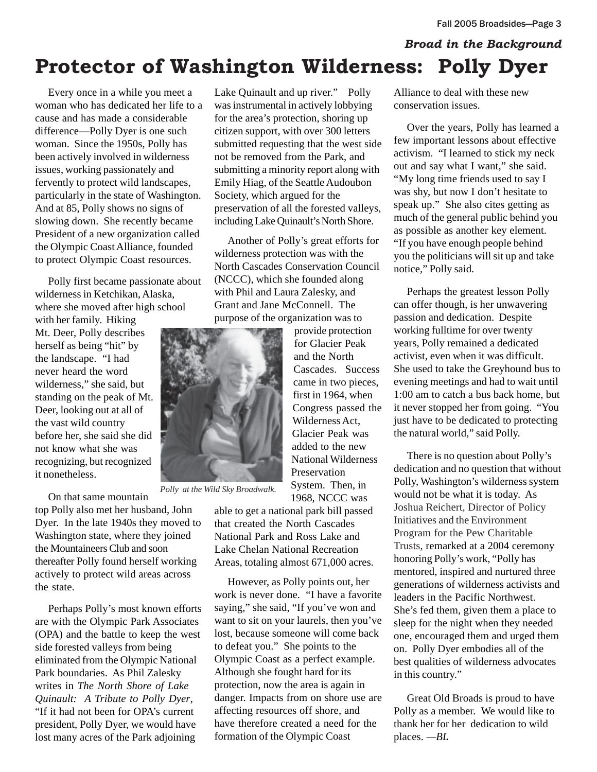*Broad in the Background*

## **Protector of Washington Wilderness: Polly Dyer**

Every once in a while you meet a woman who has dedicated her life to a cause and has made a considerable difference—Polly Dyer is one such woman. Since the 1950s, Polly has been actively involved in wilderness issues, working passionately and fervently to protect wild landscapes, particularly in the state of Washington. And at 85, Polly shows no signs of slowing down. She recently became President of a new organization called the Olympic Coast Alliance, founded to protect Olympic Coast resources.

Polly first became passionate about wilderness in Ketchikan, Alaska, where she moved after high school

with her family. Hiking Mt. Deer, Polly describes herself as being "hit" by the landscape. "I had never heard the word wilderness," she said, but standing on the peak of Mt. Deer, looking out at all of the vast wild country before her, she said she did not know what she was recognizing, but recognized it nonetheless.

On that same mountain

top Polly also met her husband, John Dyer. In the late 1940s they moved to Washington state, where they joined the Mountaineers Club and soon thereafter Polly found herself working actively to protect wild areas across the state.

Perhaps Polly's most known efforts are with the Olympic Park Associates (OPA) and the battle to keep the west side forested valleys from being eliminated from the Olympic National Park boundaries. As Phil Zalesky writes in *The North Shore of Lake Quinault: A Tribute to Polly Dyer*, "If it had not been for OPA's current president, Polly Dyer, we would have lost many acres of the Park adjoining

Lake Quinault and up river." Polly was instrumental in actively lobbying for the area's protection, shoring up citizen support, with over 300 letters submitted requesting that the west side not be removed from the Park, and submitting a minority report along with Emily Hiag, of the Seattle Audoubon Society, which argued for the preservation of all the forested valleys, including Lake Quinault's North Shore.

Another of Polly's great efforts for wilderness protection was with the North Cascades Conservation Council (NCCC), which she founded along with Phil and Laura Zalesky, and Grant and Jane McConnell. The purpose of the organization was to

> provide protection for Glacier Peak and the North Cascades. Success came in two pieces, first in 1964, when Congress passed the Wilderness Act, Glacier Peak was added to the new National Wilderness



*Polly at the Wild Sky Broadwalk.*

able to get a national park bill passed that created the North Cascades National Park and Ross Lake and Lake Chelan National Recreation Areas, totaling almost 671,000 acres.

Preservation System. Then, in 1968, NCCC was

However, as Polly points out, her work is never done. "I have a favorite saying," she said, "If you've won and want to sit on your laurels, then you've lost, because someone will come back to defeat you." She points to the Olympic Coast as a perfect example. Although she fought hard for its protection, now the area is again in danger. Impacts from on shore use are affecting resources off shore, and have therefore created a need for the formation of the Olympic Coast

Alliance to deal with these new conservation issues.

Over the years, Polly has learned a few important lessons about effective activism. "I learned to stick my neck out and say what I want," she said. "My long time friends used to say I was shy, but now I don't hesitate to speak up." She also cites getting as much of the general public behind you as possible as another key element. "If you have enough people behind you the politicians will sit up and take notice," Polly said.

Perhaps the greatest lesson Polly can offer though, is her unwavering passion and dedication. Despite working fulltime for over twenty years, Polly remained a dedicated activist, even when it was difficult. She used to take the Greyhound bus to evening meetings and had to wait until 1:00 am to catch a bus back home, but it never stopped her from going. "You just have to be dedicated to protecting the natural world," said Polly.

There is no question about Polly's dedication and no question that without Polly, Washington's wilderness system would not be what it is today. As Joshua Reichert, Director of Policy Initiatives and the Environment Program for the Pew Charitable Trusts, remarked at a 2004 ceremony honoring Polly's work, "Polly has mentored, inspired and nurtured three generations of wilderness activists and leaders in the Pacific Northwest. She's fed them, given them a place to sleep for the night when they needed one, encouraged them and urged them on. Polly Dyer embodies all of the best qualities of wilderness advocates in this country."

Great Old Broads is proud to have Polly as a member. We would like to thank her for her dedication to wild places. *—BL*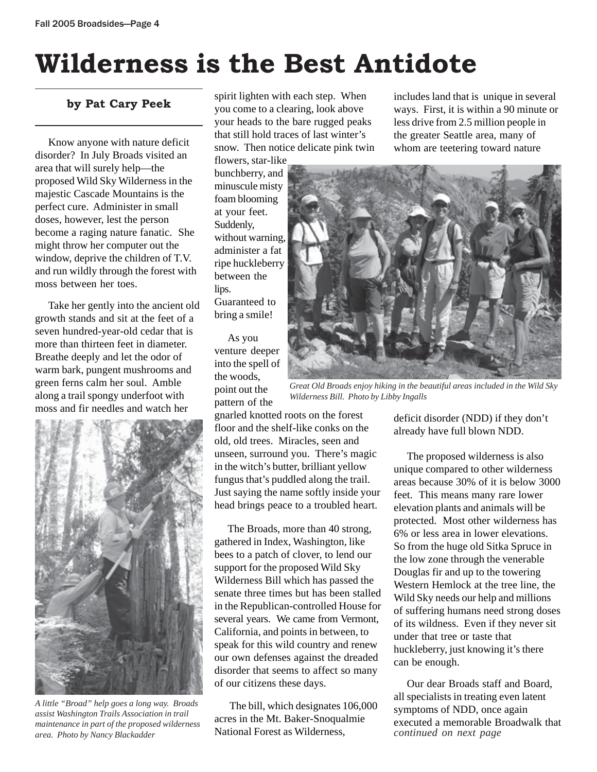## **Wilderness is the Best Antidote**

#### **by Pat Cary Peek**

Know anyone with nature deficit disorder? In July Broads visited an area that will surely help—the proposed Wild Sky Wilderness in the majestic Cascade Mountains is the perfect cure. Administer in small doses, however, lest the person become a raging nature fanatic. She might throw her computer out the window, deprive the children of T.V. and run wildly through the forest with moss between her toes.

Take her gently into the ancient old growth stands and sit at the feet of a seven hundred-year-old cedar that is more than thirteen feet in diameter. Breathe deeply and let the odor of warm bark, pungent mushrooms and green ferns calm her soul. Amble along a trail spongy underfoot with moss and fir needles and watch her



*A little "Broad" help goes a long way. Broads assist Washington Trails Association in trail maintenance in part of the proposed wilderness area. Photo by Nancy Blackadder*

spirit lighten with each step. When you come to a clearing, look above your heads to the bare rugged peaks that still hold traces of last winter's snow. Then notice delicate pink twin

flowers, star-like bunchberry, and minuscule misty foam blooming at your feet. Suddenly, without warning, administer a fat ripe huckleberry between the lips. Guaranteed to bring a smile!

As you venture deeper into the spell of the woods, point out the pattern of the

gnarled knotted roots on the forest floor and the shelf-like conks on the old, old trees. Miracles, seen and unseen, surround you. There's magic in the witch's butter, brilliant yellow fungus that's puddled along the trail. Just saying the name softly inside your

The Broads, more than 40 strong, gathered in Index, Washington, like bees to a patch of clover, to lend our support for the proposed Wild Sky Wilderness Bill which has passed the senate three times but has been stalled in the Republican-controlled House for several years. We came from Vermont, California, and points in between, to speak for this wild country and renew our own defenses against the dreaded disorder that seems to affect so many of our citizens these days.

head brings peace to a troubled heart.

 The bill, which designates 106,000 acres in the Mt. Baker-Snoqualmie National Forest as Wilderness,

includes land that is unique in several ways. First, it is within a 90 minute or less drive from 2.5 million people in the greater Seattle area, many of whom are teetering toward nature



*Great Old Broads enjoy hiking in the beautiful areas included in the Wild Sky Wilderness Bill. Photo by Libby Ingalls*

deficit disorder (NDD) if they don't already have full blown NDD.

The proposed wilderness is also unique compared to other wilderness areas because 30% of it is below 3000 feet. This means many rare lower elevation plants and animals will be protected. Most other wilderness has 6% or less area in lower elevations. So from the huge old Sitka Spruce in the low zone through the venerable Douglas fir and up to the towering Western Hemlock at the tree line, the Wild Sky needs our help and millions of suffering humans need strong doses of its wildness. Even if they never sit under that tree or taste that huckleberry, just knowing it's there can be enough.

*continued on next page* Our dear Broads staff and Board, all specialists in treating even latent symptoms of NDD, once again executed a memorable Broadwalk that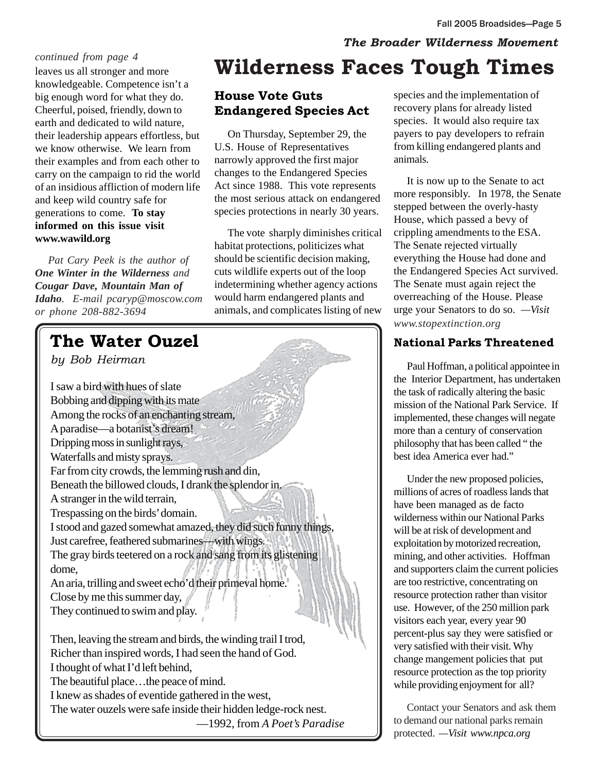*The Broader Wilderness Movement*

#### *continued from page 4*

knowledgeable. Competence isn't a big enough word for what they do. Cheerful, poised, friendly, down to earth and dedicated to wild nature, their leadership appears effortless, but we know otherwise. We learn from their examples and from each other to carry on the campaign to rid the world of an insidious affliction of modern life and keep wild country safe for generations to come. **To stay informed on this issue visit www.wawild.org**

*Pat Cary Peek is the author of One Winter in the Wilderness and Cougar Dave, Mountain Man of Idaho. E-mail pcaryp@moscow.com or phone 208-882-3694*

### **The Water Ouzel**



#### **House Vote Guts Endangered Species Act**

On Thursday, September 29, the U.S. House of Representatives narrowly approved the first major changes to the Endangered Species Act since 1988. This vote represents the most serious attack on endangered species protections in nearly 30 years.

The vote sharply diminishes critical habitat protections, politicizes what should be scientific decision making, cuts wildlife experts out of the loop indetermining whether agency actions would harm endangered plants and animals, and complicates listing of new

*by Bob Heirman* I saw a bird with hues of slate Bobbing and dipping with its mate Among the rocks of an enchanting stream, A paradise—a botanist's dream! Dripping moss in sunlight rays, Waterfalls and misty sprays. Far from city crowds, the lemming rush and din, Beneath the billowed clouds, I drank the splendor in. A stranger in the wild terrain, Trespassing on the birds' domain. I stood and gazed somewhat amazed, they did such funny things, Just carefree, feathered submarines—with wings. The gray birds teetered on a rock and sang from its glistening dome, An aria, trilling and sweet echo'd their primeval home. Close by me this summer day, They continued to swim and play. Then, leaving the stream and birds, the winding trail I trod, Richer than inspired words, I had seen the hand of God. I thought of what I'd left behind, The beautiful place…the peace of mind. I knew as shades of eventide gathered in the west, The water ouzels were safe inside their hidden ledge-rock nest. —1992, from *A Poet's Paradise* species and the implementation of recovery plans for already listed species. It would also require tax payers to pay developers to refrain from killing endangered plants and animals.

It is now up to the Senate to act more responsibly. In 1978, the Senate stepped between the overly-hasty House, which passed a bevy of crippling amendments to the ESA. The Senate rejected virtually everything the House had done and the Endangered Species Act survived. The Senate must again reject the overreaching of the House. Please urge your Senators to do so. *—Visit www.stopextinction.org*

#### **National Parks Threatened**

Paul Hoffman, a political appointee in the Interior Department, has undertaken the task of radically altering the basic mission of the National Park Service. If implemented, these changes will negate more than a century of conservation philosophy that has been called " the best idea America ever had."

Under the new proposed policies, millions of acres of roadless lands that have been managed as de facto wilderness within our National Parks will be at risk of development and exploitation by motorized recreation, mining, and other activities. Hoffman and supporters claim the current policies are too restrictive, concentrating on resource protection rather than visitor use. However, of the 250 million park visitors each year, every year 90 percent-plus say they were satisfied or very satisfied with their visit. Why change mangement policies that put resource protection as the top priority while providing enjoyment for all?

Contact your Senators and ask them to demand our national parks remain protected. *—Visit www.npca.org*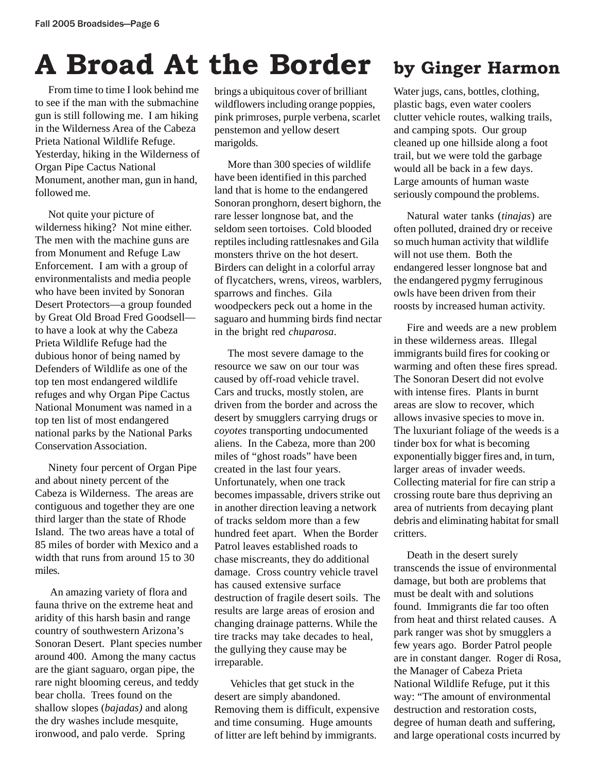## **A Broad At the Border by Ginger Harmon**

From time to time I look behind me to see if the man with the submachine gun is still following me. I am hiking in the Wilderness Area of the Cabeza Prieta National Wildlife Refuge. Yesterday, hiking in the Wilderness of Organ Pipe Cactus National Monument, another man, gun in hand, followed me.

Not quite your picture of wilderness hiking? Not mine either. The men with the machine guns are from Monument and Refuge Law Enforcement. I am with a group of environmentalists and media people who have been invited by Sonoran Desert Protectors—a group founded by Great Old Broad Fred Goodsell to have a look at why the Cabeza Prieta Wildlife Refuge had the dubious honor of being named by Defenders of Wildlife as one of the top ten most endangered wildlife refuges and why Organ Pipe Cactus National Monument was named in a top ten list of most endangered national parks by the National Parks Conservation Association.

Ninety four percent of Organ Pipe and about ninety percent of the Cabeza is Wilderness. The areas are contiguous and together they are one third larger than the state of Rhode Island. The two areas have a total of 85 miles of border with Mexico and a width that runs from around 15 to 30 miles.

 An amazing variety of flora and fauna thrive on the extreme heat and aridity of this harsh basin and range country of southwestern Arizona's Sonoran Desert. Plant species number around 400. Among the many cactus are the giant saguaro, organ pipe, the rare night blooming cereus, and teddy bear cholla. Trees found on the shallow slopes (*bajadas)* and along the dry washes include mesquite, ironwood, and palo verde. Spring

brings a ubiquitous cover of brilliant wildflowers including orange poppies, pink primroses, purple verbena, scarlet penstemon and yellow desert marigolds.

More than 300 species of wildlife have been identified in this parched land that is home to the endangered Sonoran pronghorn, desert bighorn, the rare lesser longnose bat, and the seldom seen tortoises. Cold blooded reptiles including rattlesnakes and Gila monsters thrive on the hot desert. Birders can delight in a colorful array of flycatchers, wrens, vireos, warblers, sparrows and finches. Gila woodpeckers peck out a home in the saguaro and humming birds find nectar in the bright red *chuparosa*.

The most severe damage to the resource we saw on our tour was caused by off-road vehicle travel. Cars and trucks, mostly stolen, are driven from the border and across the desert by smugglers carrying drugs or *coyotes* transporting undocumented aliens. In the Cabeza, more than 200 miles of "ghost roads" have been created in the last four years. Unfortunately, when one track becomes impassable, drivers strike out in another direction leaving a network of tracks seldom more than a few hundred feet apart. When the Border Patrol leaves established roads to chase miscreants, they do additional damage. Cross country vehicle travel has caused extensive surface destruction of fragile desert soils. The results are large areas of erosion and changing drainage patterns. While the tire tracks may take decades to heal, the gullying they cause may be irreparable.

 Vehicles that get stuck in the desert are simply abandoned. Removing them is difficult, expensive and time consuming. Huge amounts of litter are left behind by immigrants.

Water jugs, cans, bottles, clothing, plastic bags, even water coolers clutter vehicle routes, walking trails, and camping spots. Our group cleaned up one hillside along a foot trail, but we were told the garbage would all be back in a few days. Large amounts of human waste seriously compound the problems.

Natural water tanks (*tinajas*) are often polluted, drained dry or receive so much human activity that wildlife will not use them. Both the endangered lesser longnose bat and the endangered pygmy ferruginous owls have been driven from their roosts by increased human activity.

Fire and weeds are a new problem in these wilderness areas. Illegal immigrants build fires for cooking or warming and often these fires spread. The Sonoran Desert did not evolve with intense fires. Plants in burnt areas are slow to recover, which allows invasive species to move in. The luxuriant foliage of the weeds is a tinder box for what is becoming exponentially bigger fires and, in turn, larger areas of invader weeds. Collecting material for fire can strip a crossing route bare thus depriving an area of nutrients from decaying plant debris and eliminating habitat for small critters.

Death in the desert surely transcends the issue of environmental damage, but both are problems that must be dealt with and solutions found. Immigrants die far too often from heat and thirst related causes. A park ranger was shot by smugglers a few years ago. Border Patrol people are in constant danger. Roger di Rosa, the Manager of Cabeza Prieta National Wildlife Refuge, put it this way: "The amount of environmental destruction and restoration costs, degree of human death and suffering, and large operational costs incurred by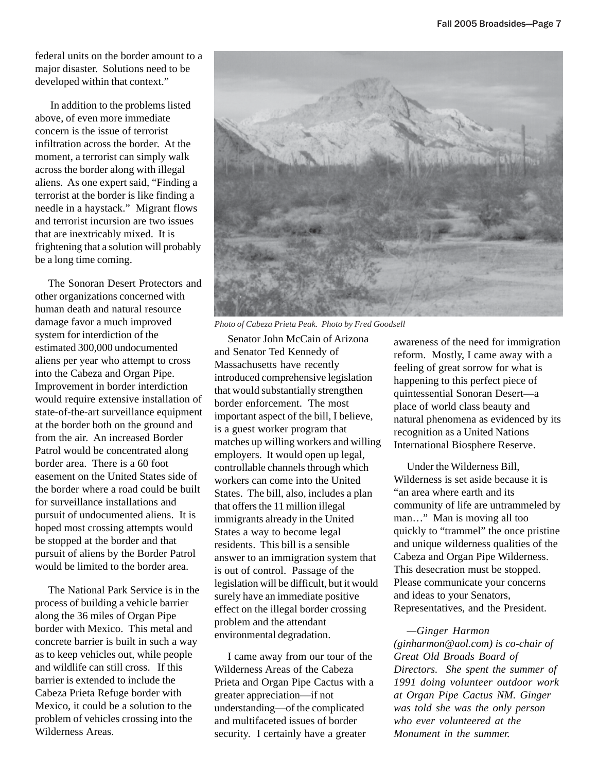federal units on the border amount to a major disaster. Solutions need to be developed within that context."

 In addition to the problems listed above, of even more immediate concern is the issue of terrorist infiltration across the border. At the moment, a terrorist can simply walk across the border along with illegal aliens. As one expert said, "Finding a terrorist at the border is like finding a needle in a haystack." Migrant flows and terrorist incursion are two issues that are inextricably mixed. It is frightening that a solution will probably be a long time coming.

The Sonoran Desert Protectors and other organizations concerned with human death and natural resource damage favor a much improved system for interdiction of the estimated 300,000 undocumented aliens per year who attempt to cross into the Cabeza and Organ Pipe. Improvement in border interdiction would require extensive installation of state-of-the-art surveillance equipment at the border both on the ground and from the air. An increased Border Patrol would be concentrated along border area. There is a 60 foot easement on the United States side of the border where a road could be built for surveillance installations and pursuit of undocumented aliens. It is hoped most crossing attempts would be stopped at the border and that pursuit of aliens by the Border Patrol would be limited to the border area.

The National Park Service is in the process of building a vehicle barrier along the 36 miles of Organ Pipe border with Mexico. This metal and concrete barrier is built in such a way as to keep vehicles out, while people and wildlife can still cross. If this barrier is extended to include the Cabeza Prieta Refuge border with Mexico, it could be a solution to the problem of vehicles crossing into the Wilderness Areas.



*Photo of Cabeza Prieta Peak. Photo by Fred Goodsell*

Senator John McCain of Arizona and Senator Ted Kennedy of Massachusetts have recently introduced comprehensive legislation that would substantially strengthen border enforcement. The most important aspect of the bill, I believe, is a guest worker program that matches up willing workers and willing employers. It would open up legal, controllable channels through which workers can come into the United States. The bill, also, includes a plan that offers the 11 million illegal immigrants already in the United States a way to become legal residents. This bill is a sensible answer to an immigration system that is out of control. Passage of the legislation will be difficult, but it would surely have an immediate positive effect on the illegal border crossing problem and the attendant environmental degradation.

I came away from our tour of the Wilderness Areas of the Cabeza Prieta and Organ Pipe Cactus with a greater appreciation—if not understanding—of the complicated and multifaceted issues of border security. I certainly have a greater

awareness of the need for immigration reform. Mostly, I came away with a feeling of great sorrow for what is happening to this perfect piece of quintessential Sonoran Desert—a place of world class beauty and natural phenomena as evidenced by its recognition as a United Nations International Biosphere Reserve.

Under the Wilderness Bill, Wilderness is set aside because it is "an area where earth and its community of life are untrammeled by man…" Man is moving all too quickly to "trammel" the once pristine and unique wilderness qualities of the Cabeza and Organ Pipe Wilderness. This desecration must be stopped. Please communicate your concerns and ideas to your Senators, Representatives, and the President.

#### *—Ginger Harmon*

*(ginharmon@aol.com) is co-chair of Great Old Broads Board of Directors. She spent the summer of 1991 doing volunteer outdoor work at Organ Pipe Cactus NM. Ginger was told she was the only person who ever volunteered at the Monument in the summer.*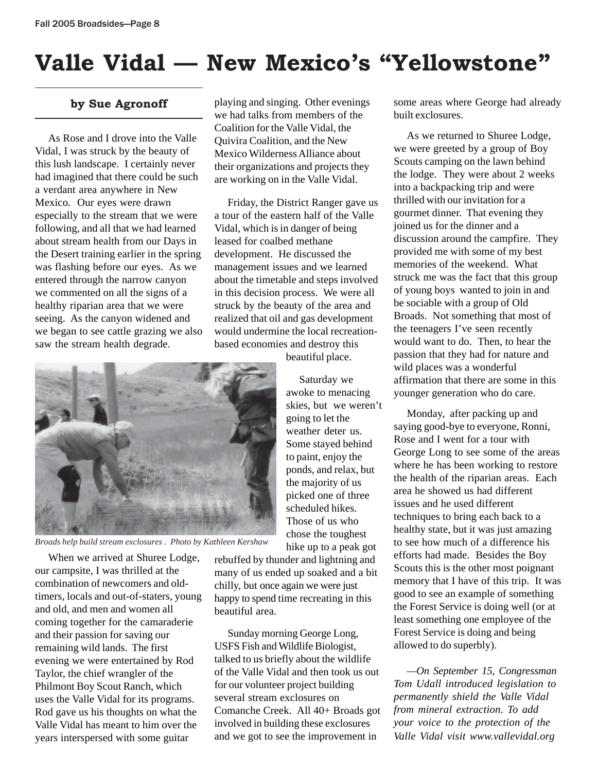## **Valle Vidal — New Mexico's "Yellowstone"**

#### **by Sue Agronoff**

As Rose and I drove into the Valle Vidal, I was struck by the beauty of this lush landscape. I certainly never had imagined that there could be such a verdant area anywhere in New Mexico. Our eyes were drawn especially to the stream that we were following, and all that we had learned about stream health from our Days in the Desert training earlier in the spring was flashing before our eyes. As we entered through the narrow canyon we commented on all the signs of a healthy riparian area that we were seeing. As the canyon widened and we began to see cattle grazing we also saw the stream health degrade.

playing and singing. Other evenings we had talks from members of the Coalition for the Valle Vidal, the Quivira Coalition, and the New Mexico Wilderness Alliance about their organizations and projects they are working on in the Valle Vidal.

Friday, the District Ranger gave us a tour of the eastern half of the Valle Vidal, which is in danger of being leased for coalbed methane development. He discussed the management issues and we learned about the timetable and steps involved in this decision process. We were all struck by the beauty of the area and realized that oil and gas development would undermine the local recreationbased economies and destroy this

beautiful place.

Saturday we awoke to menacing skies, but we weren't going to let the weather deter us. Some stayed behind to paint, enjoy the ponds, and relax, but the majority of us picked one of three scheduled hikes. Those of us who chose the toughest hike up to a peak got



When we arrived at Shuree Lodge, our campsite, I was thrilled at the combination of newcomers and oldtimers, locals and out-of-staters, young and old, and men and women all coming together for the camaraderie and their passion for saving our remaining wild lands. The first evening we were entertained by Rod Taylor, the chief wrangler of the Philmont Boy Scout Ranch, which uses the Valle Vidal for its programs. Rod gave us his thoughts on what the Valle Vidal has meant to him over the years interspersed with some guitar

rebuffed by thunder and lightning and many of us ended up soaked and a bit chilly, but once again we were just happy to spend time recreating in this beautiful area.

Sunday morning George Long, USFS Fish and Wildlife Biologist, talked to us briefly about the wildlife of the Valle Vidal and then took us out for our volunteer project building several stream exclosures on Comanche Creek. All 40+ Broads got involved in building these exclosures and we got to see the improvement in

some areas where George had already built exclosures.

As we returned to Shuree Lodge, we were greeted by a group of Boy Scouts camping on the lawn behind the lodge. They were about 2 weeks into a backpacking trip and were thrilled with our invitation for a gourmet dinner. That evening they joined us for the dinner and a discussion around the campfire. They provided me with some of my best memories of the weekend. What struck me was the fact that this group of young boys wanted to join in and be sociable with a group of Old Broads. Not something that most of the teenagers I've seen recently would want to do. Then, to hear the passion that they had for nature and wild places was a wonderful affirmation that there are some in this younger generation who do care.

Monday, after packing up and saying good-bye to everyone, Ronni, Rose and I went for a tour with George Long to see some of the areas where he has been working to restore the health of the riparian areas. Each area he showed us had different issues and he used different techniques to bring each back to a healthy state, but it was just amazing to see how much of a difference his efforts had made. Besides the Boy Scouts this is the other most poignant memory that I have of this trip. It was good to see an example of something the Forest Service is doing well (or at least something one employee of the Forest Service is doing and being allowed to do superbly).

*—On September 15, Congressman Tom Udall introduced legislation to permanently shield the Valle Vidal from mineral extraction. To add your voice to the protection of the Valle Vidal visit www.vallevidal.org*

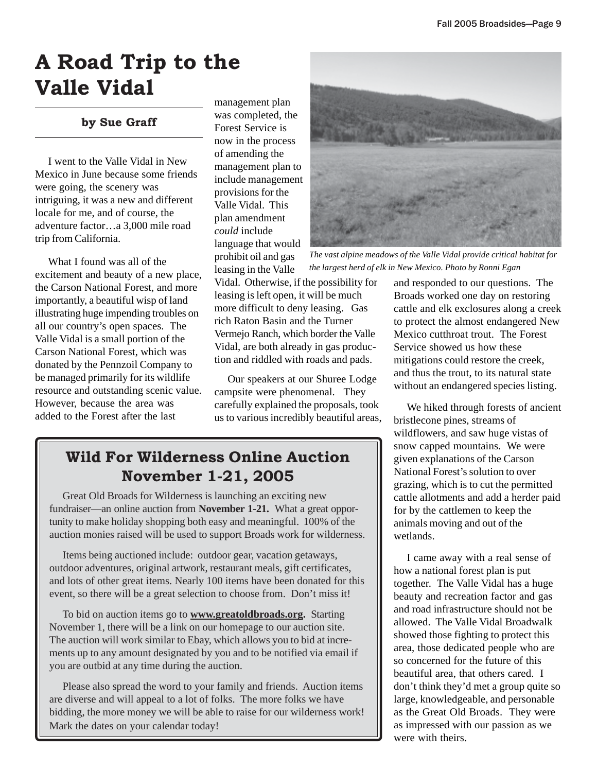## **A Road Trip to the Valle Vidal**

#### **by Sue Graff**

I went to the Valle Vidal in New Mexico in June because some friends were going, the scenery was intriguing, it was a new and different locale for me, and of course, the adventure factor…a 3,000 mile road trip from California.

What I found was all of the excitement and beauty of a new place, the Carson National Forest, and more importantly, a beautiful wisp of land illustrating huge impending troubles on all our country's open spaces. The Valle Vidal is a small portion of the Carson National Forest, which was donated by the Pennzoil Company to be managed primarily for its wildlife resource and outstanding scenic value. However, because the area was added to the Forest after the last

management plan was completed, the Forest Service is now in the process of amending the management plan to include management provisions for the Valle Vidal. This plan amendment *could* include language that would prohibit oil and gas leasing in the Valle

Vidal. Otherwise, if the possibility for leasing is left open, it will be much more difficult to deny leasing. Gas rich Raton Basin and the Turner Vermejo Ranch, which border the Valle Vidal, are both already in gas production and riddled with roads and pads.

Our speakers at our Shuree Lodge campsite were phenomenal. They carefully explained the proposals, took us to various incredibly beautiful areas,

### **Wild For Wilderness Online Auction November 1-21, 2005**

Great Old Broads for Wilderness is launching an exciting new fundraiser—an online auction from **November 1-21.** What a great opportunity to make holiday shopping both easy and meaningful. 100% of the auction monies raised will be used to support Broads work for wilderness.

Items being auctioned include: outdoor gear, vacation getaways, outdoor adventures, original artwork, restaurant meals, gift certificates, and lots of other great items. Nearly 100 items have been donated for this event, so there will be a great selection to choose from. Don't miss it!

To bid on auction items go to **www.greatoldbroads.org.** Starting November 1, there will be a link on our homepage to our auction site. The auction will work similar to Ebay, which allows you to bid at increments up to any amount designated by you and to be notified via email if you are outbid at any time during the auction.

Please also spread the word to your family and friends. Auction items are diverse and will appeal to a lot of folks. The more folks we have bidding, the more money we will be able to raise for our wilderness work! Mark the dates on your calendar today!



*The vast alpine meadows of the Valle Vidal provide critical habitat for the largest herd of elk in New Mexico. Photo by Ronni Egan*

and responded to our questions. The Broads worked one day on restoring cattle and elk exclosures along a creek to protect the almost endangered New Mexico cutthroat trout. The Forest Service showed us how these mitigations could restore the creek, and thus the trout, to its natural state without an endangered species listing.

We hiked through forests of ancient bristlecone pines, streams of wildflowers, and saw huge vistas of snow capped mountains. We were given explanations of the Carson National Forest's solution to over grazing, which is to cut the permitted cattle allotments and add a herder paid for by the cattlemen to keep the animals moving and out of the wetlands.

I came away with a real sense of how a national forest plan is put together. The Valle Vidal has a huge beauty and recreation factor and gas and road infrastructure should not be allowed. The Valle Vidal Broadwalk showed those fighting to protect this area, those dedicated people who are so concerned for the future of this beautiful area, that others cared. I don't think they'd met a group quite so large, knowledgeable, and personable as the Great Old Broads. They were as impressed with our passion as we were with theirs.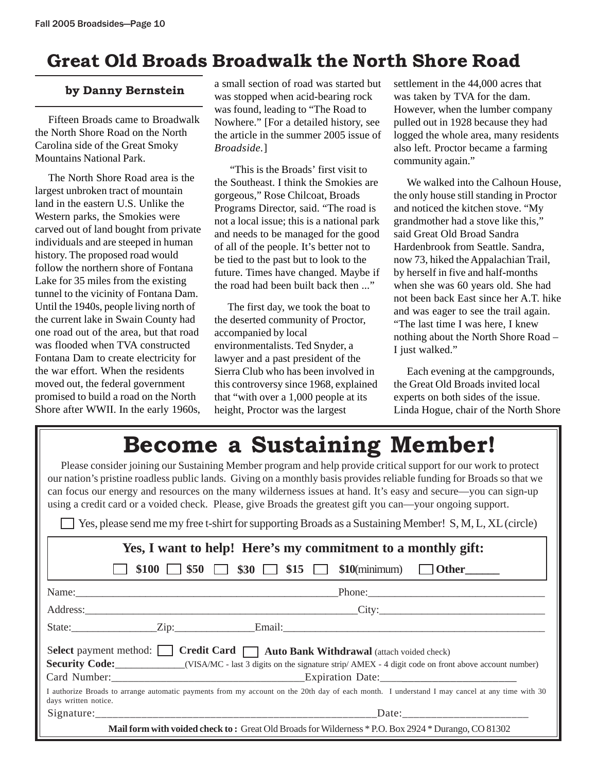## **Great Old Broads Broadwalk the North Shore Road**

#### **by Danny Bernstein**

Fifteen Broads came to Broadwalk the North Shore Road on the North Carolina side of the Great Smoky Mountains National Park.

The North Shore Road area is the largest unbroken tract of mountain land in the eastern U.S. Unlike the Western parks, the Smokies were carved out of land bought from private individuals and are steeped in human history. The proposed road would follow the northern shore of Fontana Lake for 35 miles from the existing tunnel to the vicinity of Fontana Dam. Until the 1940s, people living north of the current lake in Swain County had one road out of the area, but that road was flooded when TVA constructed Fontana Dam to create electricity for the war effort. When the residents moved out, the federal government promised to build a road on the North Shore after WWII. In the early 1960s, a small section of road was started but was stopped when acid-bearing rock was found, leading to "The Road to Nowhere." [For a detailed history, see the article in the summer 2005 issue of *Broadside.*]

 "This is the Broads' first visit to the Southeast. I think the Smokies are gorgeous," Rose Chilcoat, Broads Programs Director, said. "The road is not a local issue; this is a national park and needs to be managed for the good of all of the people. It's better not to be tied to the past but to look to the future. Times have changed. Maybe if the road had been built back then ..."

The first day, we took the boat to the deserted community of Proctor, accompanied by local environmentalists. Ted Snyder, a lawyer and a past president of the Sierra Club who has been involved in this controversy since 1968, explained that "with over a 1,000 people at its height, Proctor was the largest

settlement in the 44,000 acres that was taken by TVA for the dam. However, when the lumber company pulled out in 1928 because they had logged the whole area, many residents also left. Proctor became a farming community again."

We walked into the Calhoun House, the only house still standing in Proctor and noticed the kitchen stove. "My grandmother had a stove like this," said Great Old Broad Sandra Hardenbrook from Seattle. Sandra, now 73, hiked the Appalachian Trail, by herself in five and half-months when she was 60 years old. She had not been back East since her A.T. hike and was eager to see the trail again. "The last time I was here, I knew nothing about the North Shore Road – I just walked."

Each evening at the campgrounds, the Great Old Broads invited local experts on both sides of the issue. Linda Hogue, chair of the North Shore

## **Become a Sustaining Member!**

Please consider joining our Sustaining Member program and help provide critical support for our work to protect our nation's pristine roadless public lands. Giving on a monthly basis provides reliable funding for Broads so that we can focus our energy and resources on the many wilderness issues at hand. It's easy and secure—you can sign-up using a credit card or a voided check. Please, give Broads the greatest gift you can—your ongoing support.

Yes, please send me my free t-shirt for supporting Broads as a Sustaining Member! S, M, L, XL (circle)

| Yes, I want to help! Here's my commitment to a monthly gift:                                                                                                          |                                                                                                                                                                                                                                               |  |  |  |  |  |
|-----------------------------------------------------------------------------------------------------------------------------------------------------------------------|-----------------------------------------------------------------------------------------------------------------------------------------------------------------------------------------------------------------------------------------------|--|--|--|--|--|
| \$100 \S50 \S50 \S30 \S15 \S15 \S10(minimum) \CD Other                                                                                                                |                                                                                                                                                                                                                                               |  |  |  |  |  |
|                                                                                                                                                                       | Name: Phone: Phone: Phone: Phone: Phone: Phone: Phone: Phone: Phone: Phone: Phone: Phone: Phone: Phone: Phone: Phone: Phone: Phone: Phone: Phone: Phone: Phone: Phone: Phone: Phone: Phone: Phone: Phone: Phone: Phone: Phone:                |  |  |  |  |  |
|                                                                                                                                                                       |                                                                                                                                                                                                                                               |  |  |  |  |  |
|                                                                                                                                                                       | State: <u>Zip:</u> Zip: Email: <u>Email:</u> Email: <u>Email:</u> Zip: 2.5 Email: Email: 2.5 Email: 2.5 Email: 2.5 Email: 2.5 Email: 2.5 Email: 2.5 Email: 2.5 Email: 2.5 Email: 2.5 Email: 2.5 Email: 2.5 Email: 2.5 Email: 2.5 Email: 2.5 E |  |  |  |  |  |
| Select payment method: Credit Card   Auto Bank Withdrawal (attach voided check)                                                                                       |                                                                                                                                                                                                                                               |  |  |  |  |  |
| <b>Security Code:</b> _______________(VISA/MC - last 3 digits on the signature strip/AMEX - 4 digit code on front above account number)                               |                                                                                                                                                                                                                                               |  |  |  |  |  |
|                                                                                                                                                                       |                                                                                                                                                                                                                                               |  |  |  |  |  |
| I authorize Broads to arrange automatic payments from my account on the 20th day of each month. I understand I may cancel at any time with 30<br>days written notice. |                                                                                                                                                                                                                                               |  |  |  |  |  |
|                                                                                                                                                                       |                                                                                                                                                                                                                                               |  |  |  |  |  |
| <b>Mail form with voided check to:</b> Great Old Broads for Wilderness * P.O. Box 2924 * Durango, CO 81302                                                            |                                                                                                                                                                                                                                               |  |  |  |  |  |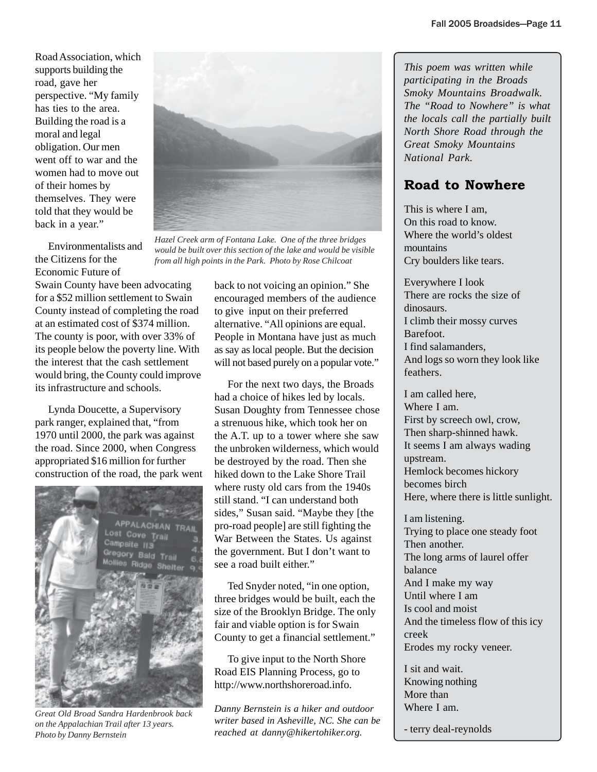Road Association, which supports building the road, gave her perspective. "My family has ties to the area. Building the road is a moral and legal obligation. Our men went off to war and the women had to move out of their homes by themselves. They were told that they would be back in a year."

Environmentalists and the Citizens for the Economic Future of

Swain County have been advocating for a \$52 million settlement to Swain County instead of completing the road at an estimated cost of \$374 million. The county is poor, with over 33% of its people below the poverty line. With the interest that the cash settlement would bring, the County could improve its infrastructure and schools.

Lynda Doucette, a Supervisory park ranger, explained that, "from 1970 until 2000, the park was against the road. Since 2000, when Congress appropriated \$16 million for further construction of the road, the park went



*Great Old Broad Sandra Hardenbrook back on the Appalachian Trail after 13 years. Photo by Danny Bernstein*



*Hazel Creek arm of Fontana Lake. One of the three bridges would be built over this section of the lake and would be visible from all high points in the Park. Photo by Rose Chilcoat*

back to not voicing an opinion." She encouraged members of the audience to give input on their preferred alternative. "All opinions are equal. People in Montana have just as much as say as local people. But the decision will not based purely on a popular vote."

For the next two days, the Broads had a choice of hikes led by locals. Susan Doughty from Tennessee chose a strenuous hike, which took her on the A.T. up to a tower where she saw the unbroken wilderness, which would be destroyed by the road. Then she hiked down to the Lake Shore Trail where rusty old cars from the 1940s still stand. "I can understand both sides," Susan said. "Maybe they [the pro-road people] are still fighting the War Between the States. Us against the government. But I don't want to see a road built either."

Ted Snyder noted, "in one option, three bridges would be built, each the size of the Brooklyn Bridge. The only fair and viable option is for Swain County to get a financial settlement."

To give input to the North Shore Road EIS Planning Process, go to http://www.northshoreroad.info.

*Danny Bernstein is a hiker and outdoor writer based in Asheville, NC. She can be reached at danny@hikertohiker.org.*

*This poem was written while participating in the Broads Smoky Mountains Broadwalk. The "Road to Nowhere" is what the locals call the partially built North Shore Road through the Great Smoky Mountains National Park.*

#### **Road to Nowhere**

This is where I am, On this road to know. Where the world's oldest mountains Cry boulders like tears.

Everywhere I look There are rocks the size of dinosaurs. I climb their mossy curves Barefoot. I find salamanders, And logs so worn they look like feathers.

I am called here, Where I am. First by screech owl, crow, Then sharp-shinned hawk. It seems I am always wading upstream. Hemlock becomes hickory becomes birch Here, where there is little sunlight.

I am listening. Trying to place one steady foot Then another. The long arms of laurel offer balance And I make my way Until where I am Is cool and moist And the timeless flow of this icy creek Erodes my rocky veneer.

I sit and wait. Knowing nothing More than Where I am.

- terry deal-reynolds